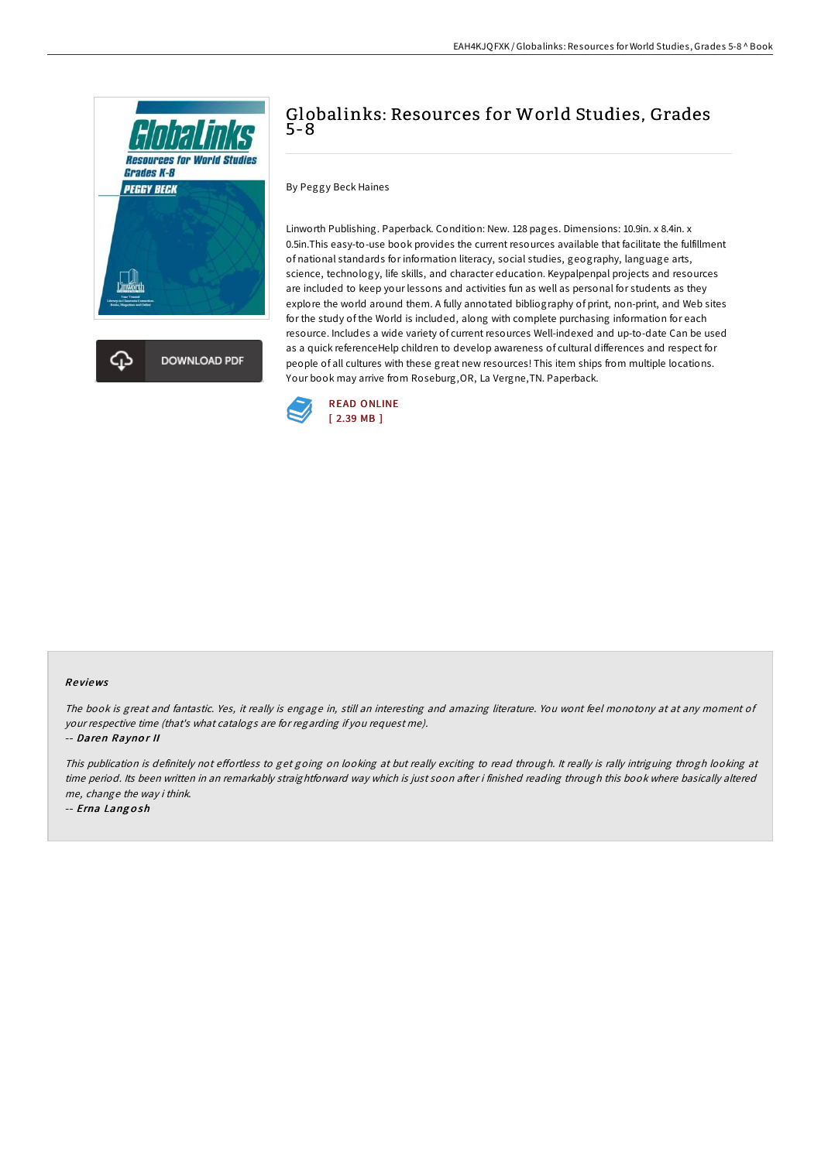

**DOWNLOAD PDF** 

# Globalinks: Resources for World Studies, Grades 5-8

By Peggy Beck Haines

Linworth Publishing. Paperback. Condition: New. 128 pages. Dimensions: 10.9in. x 8.4in. x 0.5in.This easy-to-use book provides the current resources available that facilitate the fulfillment of national standards for information literacy, social studies, geography, language arts, science, technology, life skills, and character education. Keypalpenpal projects and resources are included to keep your lessons and activities fun as well as personal for students as they explore the world around them. A fully annotated bibliography of print, non-print, and Web sites for the study of the World is included, along with complete purchasing information for each resource. Includes a wide variety of current resources Well-indexed and up-to-date Can be used as a quick referenceHelp children to develop awareness of cultural differences and respect for people of all cultures with these great new resources! This item ships from multiple locations. Your book may arrive from Roseburg,OR, La Vergne,TN. Paperback.



#### Re views

The book is great and fantastic. Yes, it really is engage in, still an interesting and amazing literature. You wont feel monotony at at any moment of your respective time (that's what catalogs are for regarding if you request me).

-- Daren Raynor II

This publication is definitely not effortless to get going on looking at but really exciting to read through. It really is rally intriguing throgh looking at time period. Its been written in an remarkably straightforward way which is just soon after i finished reading through this book where basically altered me, change the way i think.

-- Erna Lang <sup>o</sup> sh